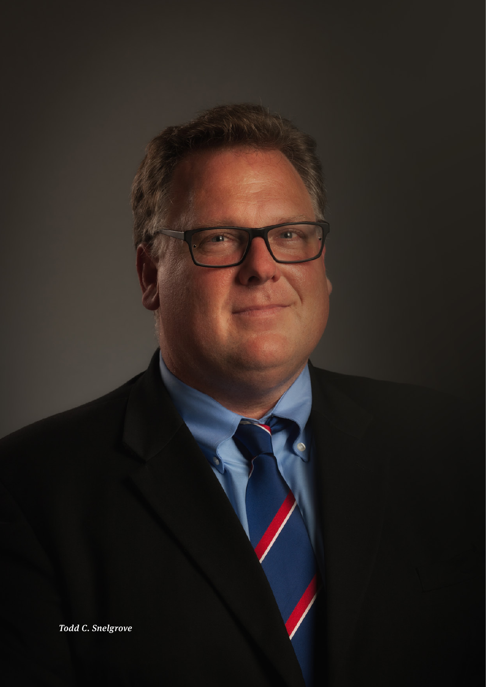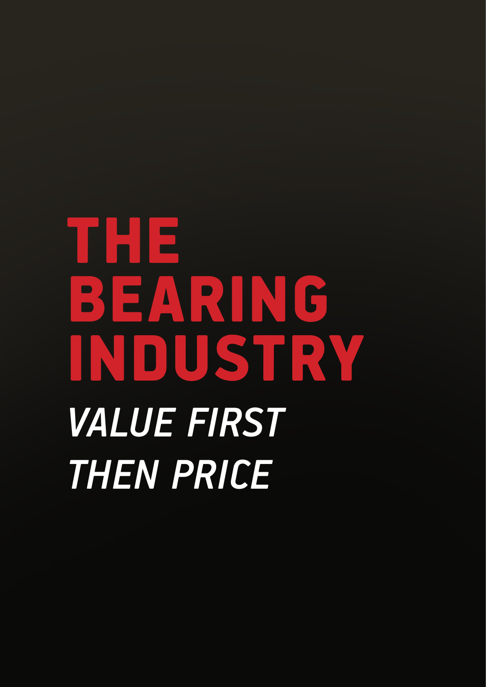# THE BEARING INDUSTRY *VALUE FIRST THEN PRICE*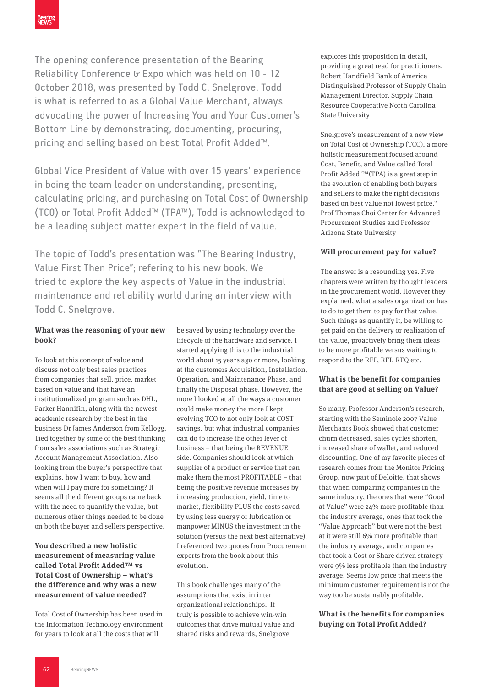The opening conference presentation of the Bearing Reliability Conference G Expo which was held on 10 - 12 October 2018, was presented by Todd C. Snelgrove. Todd is what is referred to as a Global Value Merchant, always advocating the power of Increasing You and Your Customer's Bottom Line by demonstrating, documenting, procuring, pricing and selling based on best Total Profit Added™.

Global Vice President of Value with over 15 years' experience in being the team leader on understanding, presenting, calculating pricing, and purchasing on Total Cost of Ownership (TCO) or Total Profit Added™ (TPA™), Todd is acknowledged to be a leading subject matter expert in the field of value.

The topic of Todd's presentation was "The Bearing Industry, Value First Then Price"; refering to his new book. We tried to explore the key aspects of Value in the industrial maintenance and reliability world during an interview with Todd C. Snelgrove.

# **What was the reasoning of your new book?**

To look at this concept of value and discuss not only best sales practices from companies that sell, price, market based on value and that have an institutionalized program such as DHL, Parker Hannifin, along with the newest academic research by the best in the business Dr James Anderson from Kellogg. Tied together by some of the best thinking from sales associations such as Strategic Account Management Association. Also looking from the buyer's perspective that explains, how I want to buy, how and when will I pay more for something? It seems all the different groups came back with the need to quantify the value, but numerous other things needed to be done on both the buyer and sellers perspective.

# **You described a new holistic measurement of measuring value called Total Profit Added™ vs Total Cost of Ownership – what's the difference and why was a new measurement of value needed?**

Total Cost of Ownership has been used in the Information Technology environment for years to look at all the costs that will

be saved by using technology over the lifecycle of the hardware and service. I started applying this to the industrial world about 15 years ago or more, looking at the customers Acquisition, Installation, Operation, and Maintenance Phase, and finally the Disposal phase. However, the more I looked at all the ways a customer could make money the more I kept evolving TCO to not only look at COST savings, but what industrial companies can do to increase the other lever of business – that being the REVENUE side. Companies should look at which supplier of a product or service that can make them the most PROFITABLE – that being the positive revenue increases by increasing production, yield, time to market, flexibility PLUS the costs saved by using less energy or lubrication or manpower MINUS the investment in the solution (versus the next best alternative). I referenced two quotes from Procurement experts from the book about this evolution.

This book challenges many of the assumptions that exist in inter organizational relationships. It truly is possible to achieve win-win outcomes that drive mutual value and shared risks and rewards, Snelgrove

explores this proposition in detail, providing a great read for practitioners. Robert Handfield Bank of America Distinguished Professor of Supply Chain Management Director, Supply Chain Resource Cooperative North Carolina State University

Snelgrove's measurement of a new view on Total Cost of Ownership (TCO), a more holistic measurement focused around Cost, Benefit, and Value called Total Profit Added ™(TPA) is a great step in the evolution of enabling both buyers and sellers to make the right decisions based on best value not lowest price." Prof Thomas Choi Center for Advanced Procurement Studies and Professor Arizona State University

# **Will procurement pay for value?**

The answer is a resounding yes. Five chapters were written by thought leaders in the procurement world. However they explained, what a sales organization has to do to get them to pay for that value. Such things as quantify it, be willing to get paid on the delivery or realization of the value, proactively bring them ideas to be more profitable versus waiting to respond to the RFP, RFI, RFQ etc.

### **What is the benefit for companies that are good at selling on Value?**

So many. Professor Anderson's research, starting with the Seminole 2007 Value Merchants Book showed that customer churn decreased, sales cycles shorten, increased share of wallet, and reduced discounting. One of my favorite pieces of research comes from the Monitor Pricing Group, now part of Deloitte, that shows that when comparing companies in the same industry, the ones that were "Good at Value" were 24% more profitable than the industry average, ones that took the "Value Approach" but were not the best at it were still 6% more profitable than the industry average, and companies that took a Cost or Share driven strategy were 9% less profitable than the industry average. Seems low price that meets the minimum customer requirement is not the way too be sustainably profitable.

# **What is the benefits for companies buying on Total Profit Added?**